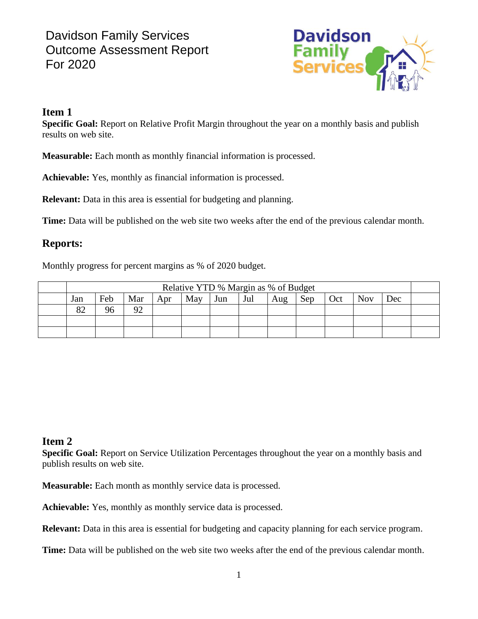# Davidson Family Services Outcome Assessment Report For 2020



#### **Item 1**

**Specific Goal:** Report on Relative Profit Margin throughout the year on a monthly basis and publish results on web site.

**Measurable:** Each month as monthly financial information is processed.

**Achievable:** Yes, monthly as financial information is processed.

**Relevant:** Data in this area is essential for budgeting and planning.

**Time:** Data will be published on the web site two weeks after the end of the previous calendar month.

### **Reports:**

Monthly progress for percent margins as % of 2020 budget.

| Relative YTD % Margin as % of Budget |     |          |     |     |     |     |     |     |     |            |     |  |
|--------------------------------------|-----|----------|-----|-----|-----|-----|-----|-----|-----|------------|-----|--|
| Jan                                  | Feb | Mar      | Apr | May | Jun | Jul | Aug | Sep | Oct | <b>Nov</b> | Dec |  |
| 82                                   |     | $\Omega$ |     |     |     |     |     |     |     |            |     |  |
|                                      |     |          |     |     |     |     |     |     |     |            |     |  |
|                                      |     |          |     |     |     |     |     |     |     |            |     |  |

### **Item 2**

**Specific Goal:** Report on Service Utilization Percentages throughout the year on a monthly basis and publish results on web site.

**Measurable:** Each month as monthly service data is processed.

**Achievable:** Yes, monthly as monthly service data is processed.

**Relevant:** Data in this area is essential for budgeting and capacity planning for each service program.

**Time:** Data will be published on the web site two weeks after the end of the previous calendar month.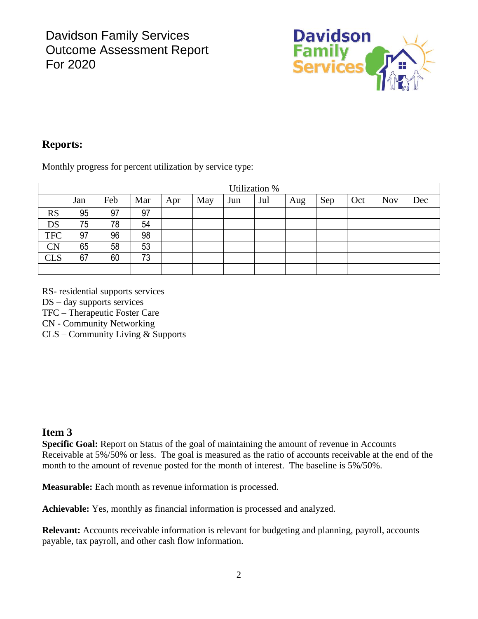

## **Reports:**

Monthly progress for percent utilization by service type:

|            | Utilization % |     |     |     |     |     |     |     |     |     |            |     |
|------------|---------------|-----|-----|-----|-----|-----|-----|-----|-----|-----|------------|-----|
|            | Jan           | Feb | Mar | Apr | May | Jun | Jul | Aug | Sep | Oct | <b>Nov</b> | Dec |
| <b>RS</b>  | 95            | 97  | 97  |     |     |     |     |     |     |     |            |     |
| DS         | 75            | 78  | 54  |     |     |     |     |     |     |     |            |     |
| <b>TFC</b> | 97            | 96  | 98  |     |     |     |     |     |     |     |            |     |
| <b>CN</b>  | 65            | 58  | 53  |     |     |     |     |     |     |     |            |     |
| <b>CLS</b> | 67            | 60  | 73  |     |     |     |     |     |     |     |            |     |
|            |               |     |     |     |     |     |     |     |     |     |            |     |

RS- residential supports services

DS – day supports services

TFC – Therapeutic Foster Care

CN - Community Networking

CLS – Community Living & Supports

#### **Item 3**

**Specific Goal:** Report on Status of the goal of maintaining the amount of revenue in Accounts Receivable at 5%/50% or less. The goal is measured as the ratio of accounts receivable at the end of the month to the amount of revenue posted for the month of interest. The baseline is 5%/50%.

**Measurable:** Each month as revenue information is processed.

**Achievable:** Yes, monthly as financial information is processed and analyzed.

**Relevant:** Accounts receivable information is relevant for budgeting and planning, payroll, accounts payable, tax payroll, and other cash flow information.